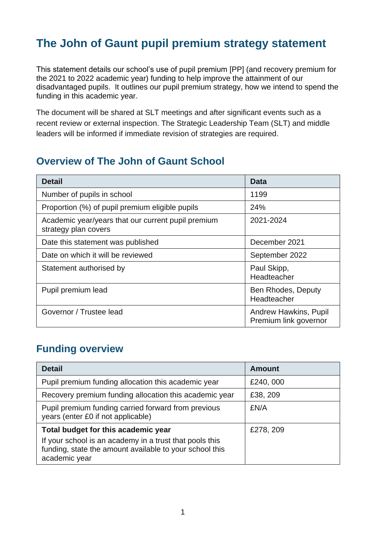## **The John of Gaunt pupil premium strategy statement**

This statement details our school's use of pupil premium [PP] (and recovery premium for the 2021 to 2022 academic year) funding to help improve the attainment of our disadvantaged pupils. It outlines our pupil premium strategy, how we intend to spend the funding in this academic year.

The document will be shared at SLT meetings and after significant events such as a recent review or external inspection. The Strategic Leadership Team (SLT) and middle leaders will be informed if immediate revision of strategies are required.

### **Overview of The John of Gaunt School**

| <b>Detail</b>                                                              | Data                                                  |
|----------------------------------------------------------------------------|-------------------------------------------------------|
| Number of pupils in school                                                 | 1199                                                  |
| Proportion (%) of pupil premium eligible pupils                            | 24%                                                   |
| Academic year/years that our current pupil premium<br>strategy plan covers | 2021-2024                                             |
| Date this statement was published                                          | December 2021                                         |
| Date on which it will be reviewed                                          | September 2022                                        |
| Statement authorised by                                                    | Paul Skipp,<br>Headteacher                            |
| Pupil premium lead                                                         | Ben Rhodes, Deputy<br>Headteacher                     |
| Governor / Trustee lead                                                    | <b>Andrew Hawkins, Pupil</b><br>Premium link governor |

## **Funding overview**

| <b>Detail</b>                                                                                                                                                              | <b>Amount</b> |
|----------------------------------------------------------------------------------------------------------------------------------------------------------------------------|---------------|
| Pupil premium funding allocation this academic year                                                                                                                        | £240,000      |
| Recovery premium funding allocation this academic year                                                                                                                     | £38, 209      |
| Pupil premium funding carried forward from previous<br>years (enter £0 if not applicable)                                                                                  | £N/A          |
| Total budget for this academic year<br>If your school is an academy in a trust that pools this<br>funding, state the amount available to your school this<br>academic year | £278, 209     |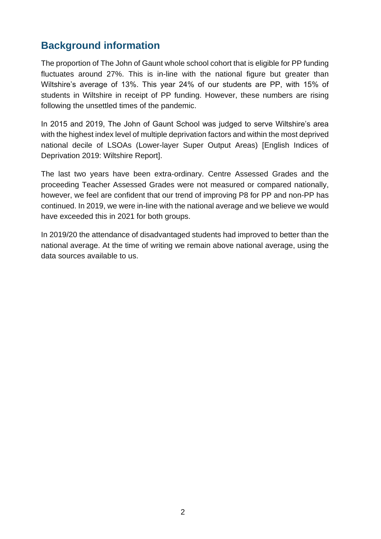### **Background information**

The proportion of The John of Gaunt whole school cohort that is eligible for PP funding fluctuates around 27%. This is in-line with the national figure but greater than Wiltshire's average of 13%. This year 24% of our students are PP, with 15% of students in Wiltshire in receipt of PP funding. However, these numbers are rising following the unsettled times of the pandemic.

In 2015 and 2019, The John of Gaunt School was judged to serve Wiltshire's area with the highest index level of multiple deprivation factors and within the most deprived national decile of LSOAs (Lower-layer Super Output Areas) [English Indices of Deprivation 2019: Wiltshire Report].

The last two years have been extra-ordinary. Centre Assessed Grades and the proceeding Teacher Assessed Grades were not measured or compared nationally, however, we feel are confident that our trend of improving P8 for PP and non-PP has continued. In 2019, we were in-line with the national average and we believe we would have exceeded this in 2021 for both groups.

In 2019/20 the attendance of disadvantaged students had improved to better than the national average. At the time of writing we remain above national average, using the data sources available to us.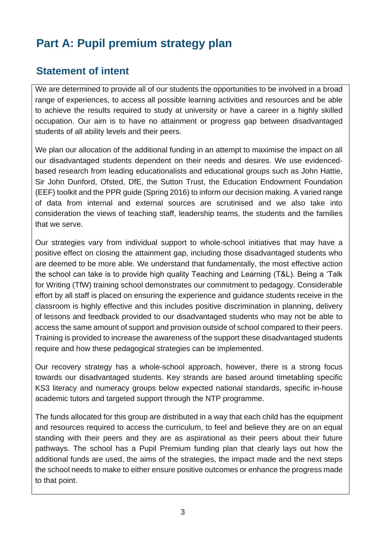# **Part A: Pupil premium strategy plan**

## **Statement of intent**

We are determined to provide all of our students the opportunities to be involved in a broad range of experiences, to access all possible learning activities and resources and be able to achieve the results required to study at university or have a career in a highly skilled occupation. Our aim is to have no attainment or progress gap between disadvantaged students of all ability levels and their peers.

We plan our allocation of the additional funding in an attempt to maximise the impact on all our disadvantaged students dependent on their needs and desires. We use evidencedbased research from leading educationalists and educational groups such as John Hattie, Sir John Dunford, Ofsted, DfE, the Sutton Trust, the Education Endowment Foundation (EEF) toolkit and the PPR guide (Spring 2016) to inform our decision making. A varied range of data from internal and external sources are scrutinised and we also take into consideration the views of teaching staff, leadership teams, the students and the families that we serve.

Our strategies vary from individual support to whole-school initiatives that may have a positive effect on closing the attainment gap, including those disadvantaged students who are deemed to be more able. We understand that fundamentally, the most effective action the school can take is to provide high quality Teaching and Learning (T&L). Being a 'Talk for Writing (TfW) training school demonstrates our commitment to pedagogy. Considerable effort by all staff is placed on ensuring the experience and guidance students receive in the classroom is highly effective and this includes positive discrimination in planning, delivery of lessons and feedback provided to our disadvantaged students who may not be able to access the same amount of support and provision outside of school compared to their peers. Training is provided to increase the awareness of the support these disadvantaged students require and how these pedagogical strategies can be implemented.

Our recovery strategy has a whole-school approach, however, there is a strong focus towards our disadvantaged students. Key strands are based around timetabling specific KS3 literacy and numeracy groups below expected national standards, specific in-house academic tutors and targeted support through the NTP programme.

The funds allocated for this group are distributed in a way that each child has the equipment and resources required to access the curriculum, to feel and believe they are on an equal standing with their peers and they are as aspirational as their peers about their future pathways. The school has a Pupil Premium funding plan that clearly lays out how the additional funds are used, the aims of the strategies, the impact made and the next steps the school needs to make to either ensure positive outcomes or enhance the progress made to that point.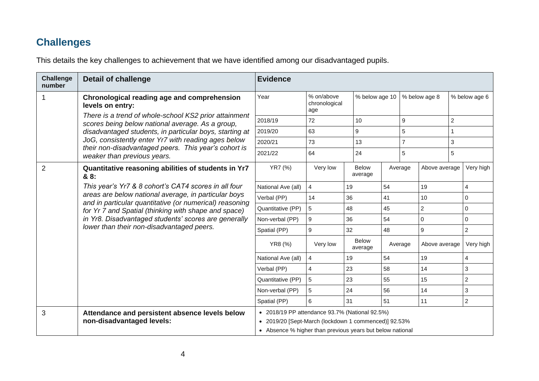## **Challenges**

This details the key challenges to achievement that we have identified among our disadvantaged pupils.

| <b>Challenge</b><br>number | <b>Detail of challenge</b>                                                                                                                                                                                                                                                   | <b>Evidence</b>                                           |                                    |                         |                |                  |                |                |                  |
|----------------------------|------------------------------------------------------------------------------------------------------------------------------------------------------------------------------------------------------------------------------------------------------------------------------|-----------------------------------------------------------|------------------------------------|-------------------------|----------------|------------------|----------------|----------------|------------------|
|                            | Chronological reading age and comprehension<br>levels on entry:                                                                                                                                                                                                              | Year                                                      | % on/above<br>chronological<br>age |                         | % below age 10 |                  | % below age 8  |                | % below age 6    |
|                            | There is a trend of whole-school KS2 prior attainment<br>scores being below national average. As a group,                                                                                                                                                                    | 2018/19                                                   | 72                                 | 10                      |                | $\boldsymbol{9}$ |                | $\overline{c}$ |                  |
|                            | disadvantaged students, in particular boys, starting at                                                                                                                                                                                                                      | 2019/20                                                   | 63                                 | 9                       |                | 5                |                |                |                  |
|                            | JoG, consistently enter Yr7 with reading ages below                                                                                                                                                                                                                          | 2020/21                                                   | 73                                 | 13                      |                | $\overline{7}$   |                | 3              |                  |
|                            | their non-disadvantaged peers. This year's cohort is<br>weaker than previous years.                                                                                                                                                                                          | 2021/22                                                   | 64                                 | 24                      |                | 5                |                | 5              |                  |
| 2                          | Quantitative reasoning abilities of students in Yr7<br>& 8:                                                                                                                                                                                                                  | YR7 (%)                                                   | Very low                           | <b>Below</b><br>average |                | Average          | Above average  |                | Very high        |
|                            | This year's Yr7 & 8 cohort's CAT4 scores in all four                                                                                                                                                                                                                         | National Ave (all)                                        | $\overline{4}$                     | 19                      | 54             |                  | 19             |                | $\overline{4}$   |
|                            | areas are below national average, in particular boys<br>and in particular quantitative (or numerical) reasoning<br>for Yr 7 and Spatial (thinking with shape and space)<br>in Yr8. Disadvantaged students' scores are generally<br>lower than their non-disadvantaged peers. | Verbal (PP)                                               | 14                                 | 36                      | 41             |                  | 10             |                | $\mathbf{0}$     |
|                            |                                                                                                                                                                                                                                                                              | Quantitative (PP)                                         | 5                                  | 48                      | 45             |                  | $\overline{2}$ |                | $\mathbf 0$      |
|                            |                                                                                                                                                                                                                                                                              | Non-verbal (PP)                                           | 9                                  | 36                      | 54             |                  | $\mathbf 0$    |                | $\mathbf 0$      |
|                            |                                                                                                                                                                                                                                                                              | Spatial (PP)                                              | 9                                  | 32                      | 48             |                  | 9              |                | $\overline{2}$   |
|                            |                                                                                                                                                                                                                                                                              | YR8 (%)                                                   | Very low                           | <b>Below</b><br>average |                | Average          | Above average  |                | Very high        |
|                            |                                                                                                                                                                                                                                                                              | National Ave (all)                                        | 4                                  | 19                      | 54             |                  | 19             |                | $\overline{4}$   |
|                            |                                                                                                                                                                                                                                                                              | Verbal (PP)                                               | $\overline{4}$                     | 23                      | 58             |                  | 14             |                | 3                |
|                            |                                                                                                                                                                                                                                                                              | Quantitative (PP)                                         | 5                                  | 23                      | 55             |                  | 15             |                | $\boldsymbol{2}$ |
|                            |                                                                                                                                                                                                                                                                              | Non-verbal (PP)                                           | 5                                  | 24                      | 56             |                  | 14             |                | $\sqrt{3}$       |
|                            |                                                                                                                                                                                                                                                                              | Spatial (PP)                                              | 6                                  | 31                      | 51             |                  | 11             |                | $\sqrt{2}$       |
| 3                          | Attendance and persistent absence levels below                                                                                                                                                                                                                               | • 2018/19 PP attendance 93.7% (National 92.5%)            |                                    |                         |                |                  |                |                |                  |
|                            | non-disadvantaged levels:                                                                                                                                                                                                                                                    | • 2019/20 [Sept-March (lockdown 1 commenced)] 92.53%      |                                    |                         |                |                  |                |                |                  |
|                            |                                                                                                                                                                                                                                                                              | • Absence % higher than previous years but below national |                                    |                         |                |                  |                |                |                  |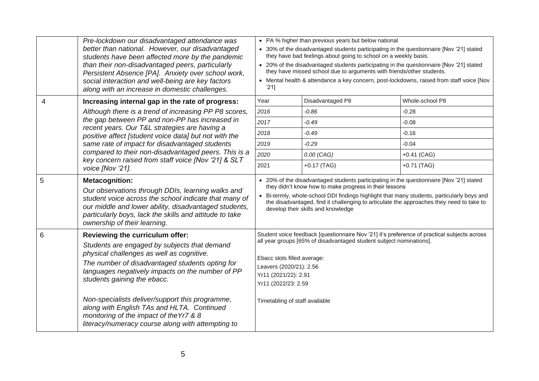|   | Pre-lockdown our disadvantaged attendance was<br>better than national. However, our disadvantaged<br>students have been affected more by the pandemic<br>than their non-disadvantaged peers, particularly<br>Persistent Absence [PA]. Anxiety over school work,<br>social interaction and well-being are key factors<br>along with an increase in domestic challenges.                                                                                              | • PA % higher than previous years but below national<br>• 30% of the disadvantaged students participating in the questionnaire [Nov '21] stated<br>they have bad feelings about going to school on a weekly basis.<br>• 20% of the disadvantaged students participating in the questionnaire [Nov '21] stated<br>they have missed school due to arguments with friends/other students.<br>• Mental health & attendance a key concern, post-lockdowns, raised from staff voice [Nov<br>'211 |                  |                 |
|---|---------------------------------------------------------------------------------------------------------------------------------------------------------------------------------------------------------------------------------------------------------------------------------------------------------------------------------------------------------------------------------------------------------------------------------------------------------------------|--------------------------------------------------------------------------------------------------------------------------------------------------------------------------------------------------------------------------------------------------------------------------------------------------------------------------------------------------------------------------------------------------------------------------------------------------------------------------------------------|------------------|-----------------|
| 4 | Increasing internal gap in the rate of progress:                                                                                                                                                                                                                                                                                                                                                                                                                    | Year                                                                                                                                                                                                                                                                                                                                                                                                                                                                                       | Disadvantaged P8 | Whole-school P8 |
|   | Although there is a trend of increasing PP P8 scores,                                                                                                                                                                                                                                                                                                                                                                                                               | 2016                                                                                                                                                                                                                                                                                                                                                                                                                                                                                       | $-0.86$          | $-0.28$         |
|   | the gap between PP and non-PP has increased in<br>recent years. Our T&L strategies are having a                                                                                                                                                                                                                                                                                                                                                                     | 2017                                                                                                                                                                                                                                                                                                                                                                                                                                                                                       | $-0.49$          | $-0.08$         |
|   | positive affect [student voice data] but not with the                                                                                                                                                                                                                                                                                                                                                                                                               | 2018                                                                                                                                                                                                                                                                                                                                                                                                                                                                                       | $-0.49$          | $-0.16$         |
|   | same rate of impact for disadvantaged students<br>compared to their non-disadvantaged peers. This is a<br>key concern raised from staff voice [Nov '21] & SLT<br>voice [Nov '21].                                                                                                                                                                                                                                                                                   | 2019                                                                                                                                                                                                                                                                                                                                                                                                                                                                                       | $-0.29$          | $-0.04$         |
|   |                                                                                                                                                                                                                                                                                                                                                                                                                                                                     | 2020                                                                                                                                                                                                                                                                                                                                                                                                                                                                                       | $0.00$ (CAG)     | $+0.41$ (CAG)   |
|   |                                                                                                                                                                                                                                                                                                                                                                                                                                                                     | 2021                                                                                                                                                                                                                                                                                                                                                                                                                                                                                       | $+0.17$ (TAG)    | $+0.71$ (TAG)   |
| 5 | <b>Metacognition:</b><br>Our observations through DDIs, learning walks and<br>student voice across the school indicate that many of<br>our middle and lower ability, disadvantaged students,<br>particularly boys, lack the skills and attitude to take<br>ownership of their learning.                                                                                                                                                                             | • 20% of the disadvantaged students participating in the questionnaire [Nov '21] stated<br>they didn't know how to make progress in their lessons<br>• Bi-termly, whole-school DDI findings highlight that many students, particularly boys and<br>the disadvantaged, find it challenging to articulate the approaches they need to take to<br>develop their skills and knowledge                                                                                                          |                  |                 |
| 6 | Reviewing the curriculum offer:<br>Students are engaged by subjects that demand<br>physical challenges as well as cognitive.<br>The number of disadvantaged students opting for<br>languages negatively impacts on the number of PP<br>students gaining the ebacc.<br>Non-specialists deliver/support this programme,<br>along with English TAs and HLTA. Continued<br>monitoring of the impact of the Yr7 & 8<br>literacy/numeracy course along with attempting to | Student voice feedback [questionnaire Nov '21] it's preference of practical subjects across<br>all year groups [65% of disadvantaged student subject nominations].<br>Ebacc slots filled average:<br>Leavers (2020/21): 2.56<br>Yr11 (2021/22): 2.91<br>Yr11 (2022/23: 2.59<br>Timetabling of staff available                                                                                                                                                                              |                  |                 |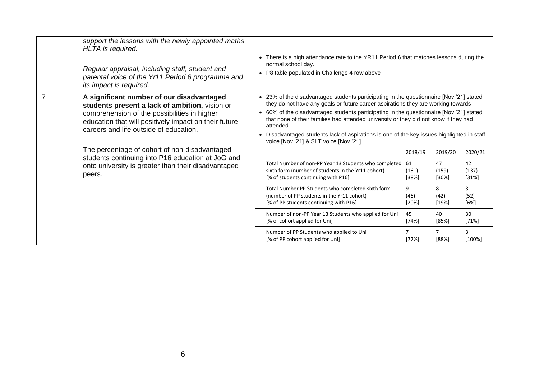|                | support the lessons with the newly appointed maths<br>HLTA is required.<br>Regular appraisal, including staff, student and<br>parental voice of the Yr11 Period 6 programme and<br>its impact is required.                                     | • There is a high attendance rate to the YR11 Period 6 that matches lessons during the<br>normal school day.<br>• P8 table populated in Challenge 4 row above                                                                                                                                                                                                                                                                                                                                                     |                      |                         |                         |
|----------------|------------------------------------------------------------------------------------------------------------------------------------------------------------------------------------------------------------------------------------------------|-------------------------------------------------------------------------------------------------------------------------------------------------------------------------------------------------------------------------------------------------------------------------------------------------------------------------------------------------------------------------------------------------------------------------------------------------------------------------------------------------------------------|----------------------|-------------------------|-------------------------|
| $\overline{7}$ | A significant number of our disadvantaged<br>students present a lack of ambition, vision or<br>comprehension of the possibilities in higher<br>education that will positively impact on their future<br>careers and life outside of education. | • 23% of the disadvantaged students participating in the questionnaire [Nov '21] stated<br>they do not have any goals or future career aspirations they are working towards<br>• 60% of the disadvantaged students participating in the questionnaire [Nov '21] stated<br>that none of their families had attended university or they did not know if they had<br>attended<br>• Disadvantaged students lack of aspirations is one of the key issues highlighted in staff<br>voice [Nov '21] & SLT voice [Nov '21] |                      |                         |                         |
|                | The percentage of cohort of non-disadvantaged<br>students continuing into P16 education at JoG and<br>onto university is greater than their disadvantaged<br>peers.                                                                            |                                                                                                                                                                                                                                                                                                                                                                                                                                                                                                                   | 2018/19              | 2019/20                 | 2020/21                 |
|                |                                                                                                                                                                                                                                                | Total Number of non-PP Year 13 Students who completed<br>sixth form (number of students in the Yr11 cohort)<br>[% of students continuing with P16]                                                                                                                                                                                                                                                                                                                                                                | 61<br>(161)<br>[38%] | 47<br>(159)<br>$[30\%]$ | 42<br>(137)<br>$[31\%]$ |
|                |                                                                                                                                                                                                                                                | Total Number PP Students who completed sixth form<br>(number of PP students in the Yr11 cohort)<br>[% of PP students continuing with P16]                                                                                                                                                                                                                                                                                                                                                                         | 9<br>(46)<br>[20%]   | 8<br>(42)<br>[19%]      | 3<br>(52)<br>[6%]       |
|                |                                                                                                                                                                                                                                                | Number of non-PP Year 13 Students who applied for Uni<br>[% of cohort applied for Uni]                                                                                                                                                                                                                                                                                                                                                                                                                            | 45<br>[74%]          | 40<br>[85%]             | 30<br>[71%]             |
|                |                                                                                                                                                                                                                                                | Number of PP Students who applied to Uni<br>[% of PP cohort applied for Uni]                                                                                                                                                                                                                                                                                                                                                                                                                                      | [77%]                | [88%]                   | 3<br>[100%]             |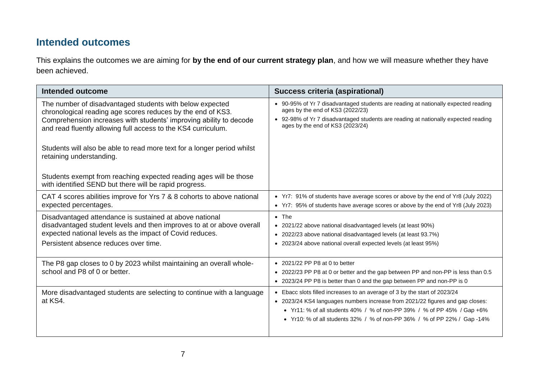#### **Intended outcomes**

This explains the outcomes we are aiming for **by the end of our current strategy plan**, and how we will measure whether they have been achieved.

| Intended outcome                                                                                                                                                                                                                                                                                                                                                      | <b>Success criteria (aspirational)</b>                                                                                                                                                                                                                                                                            |
|-----------------------------------------------------------------------------------------------------------------------------------------------------------------------------------------------------------------------------------------------------------------------------------------------------------------------------------------------------------------------|-------------------------------------------------------------------------------------------------------------------------------------------------------------------------------------------------------------------------------------------------------------------------------------------------------------------|
| The number of disadvantaged students with below expected<br>chronological reading age scores reduces by the end of KS3.<br>Comprehension increases with students' improving ability to decode<br>and read fluently allowing full access to the KS4 curriculum.<br>Students will also be able to read more text for a longer period whilst<br>retaining understanding. | • 90-95% of Yr 7 disadvantaged students are reading at nationally expected reading<br>ages by the end of KS3 (2022/23)<br>• 92-98% of Yr 7 disadvantaged students are reading at nationally expected reading<br>ages by the end of KS3 (2023/24)                                                                  |
| Students exempt from reaching expected reading ages will be those<br>with identified SEND but there will be rapid progress.                                                                                                                                                                                                                                           |                                                                                                                                                                                                                                                                                                                   |
| CAT 4 scores abilities improve for Yrs 7 & 8 cohorts to above national<br>expected percentages.                                                                                                                                                                                                                                                                       | • Yr7: 91% of students have average scores or above by the end of Yr8 (July 2022)<br>• Yr7: 95% of students have average scores or above by the end of Yr8 (July 2023)                                                                                                                                            |
| Disadvantaged attendance is sustained at above national<br>disadvantaged student levels and then improves to at or above overall<br>expected national levels as the impact of Covid reduces.<br>Persistent absence reduces over time.                                                                                                                                 | $\bullet$ The<br>• 2021/22 above national disadvantaged levels (at least 90%)<br>• 2022/23 above national disadvantaged levels (at least 93.7%)<br>2023/24 above national overall expected levels (at least 95%)<br>$\bullet$                                                                                     |
| The P8 gap closes to 0 by 2023 whilst maintaining an overall whole-<br>school and P8 of 0 or better.                                                                                                                                                                                                                                                                  | $\bullet$ 2021/22 PP P8 at 0 to better<br>2022/23 PP P8 at 0 or better and the gap between PP and non-PP is less than 0.5<br>$\bullet$<br>• 2023/24 PP P8 is better than 0 and the gap between PP and non-PP is 0                                                                                                 |
| More disadvantaged students are selecting to continue with a language<br>at KS4.                                                                                                                                                                                                                                                                                      | • Ebacc slots filled increases to an average of 3 by the start of 2023/24<br>• 2023/24 KS4 languages numbers increase from 2021/22 figures and gap closes:<br>• Yr11: % of all students 40% / % of non-PP 39% / % of PP 45% / Gap +6%<br>• Yr10: % of all students 32% / % of non-PP 36% / % of PP 22% / Gap -14% |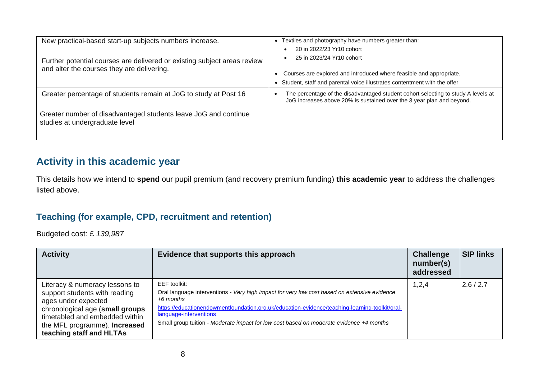| New practical-based start-up subjects numbers increase.                                                                | Textiles and photography have numbers greater than:                                                                                                                                                       |
|------------------------------------------------------------------------------------------------------------------------|-----------------------------------------------------------------------------------------------------------------------------------------------------------------------------------------------------------|
| Further potential courses are delivered or existing subject areas review<br>and alter the courses they are delivering. | 20 in 2022/23 Yr10 cohort<br>25 in 2023/24 Yr10 cohort<br>Courses are explored and introduced where feasible and appropriate.<br>Student, staff and parental voice illustrates contentment with the offer |
| Greater percentage of students remain at JoG to study at Post 16                                                       | The percentage of the disadvantaged student cohort selecting to study A levels at<br>JoG increases above 20% is sustained over the 3 year plan and beyond.                                                |
| Greater number of disadvantaged students leave JoG and continue<br>studies at undergraduate level                      |                                                                                                                                                                                                           |

## **Activity in this academic year**

This details how we intend to **spend** our pupil premium (and recovery premium funding) **this academic year** to address the challenges listed above.

#### **Teaching (for example, CPD, recruitment and retention)**

Budgeted cost: £ *139,987*

| <b>Activity</b>                                                                                                                                                                                                                 | Evidence that supports this approach                                                                                                                                                                                                                                                                                                               | <b>Challenge</b><br>number(s)<br>addressed | <b>SIP links</b> |
|---------------------------------------------------------------------------------------------------------------------------------------------------------------------------------------------------------------------------------|----------------------------------------------------------------------------------------------------------------------------------------------------------------------------------------------------------------------------------------------------------------------------------------------------------------------------------------------------|--------------------------------------------|------------------|
| Literacy & numeracy lessons to<br>support students with reading<br>ages under expected<br>chronological age (small groups<br>timetabled and embedded within<br>the MFL programme). <b>Increased</b><br>teaching staff and HLTAs | EEF toolkit:<br>Oral language interventions - Very high impact for very low cost based on extensive evidence<br>$+6$ months<br>https://educationendowmentfoundation.org.uk/education-evidence/teaching-learning-toolkit/oral-<br>language-interventions<br>Small group tuition - Moderate impact for low cost based on moderate evidence +4 months | 1,2,4                                      | 2.6/2.7          |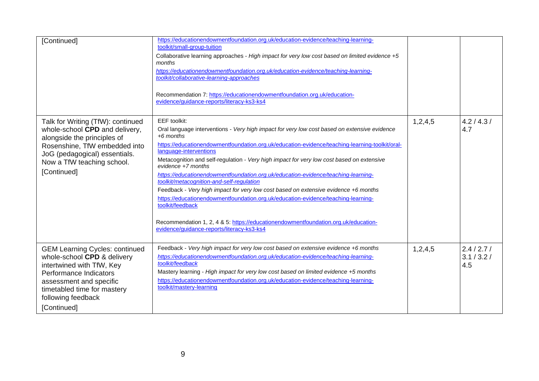| [Continued]                                                                                                                                                                                                                | https://educationendowmentfoundation.org.uk/education-evidence/teaching-learning-<br>toolkit/small-group-tuition<br>Collaborative learning approaches - High impact for very low cost based on limited evidence +5<br>months<br>https://educationendowmentfoundation.org.uk/education-evidence/teaching-learning-<br>toolkit/collaborative-learning-approaches<br>Recommendation 7: https://educationendowmentfoundation.org.uk/education-<br>evidence/guidance-reports/literacy-ks3-ks4                                                                                                                                                                                                                                                                                                                                                              |         |                                   |
|----------------------------------------------------------------------------------------------------------------------------------------------------------------------------------------------------------------------------|-------------------------------------------------------------------------------------------------------------------------------------------------------------------------------------------------------------------------------------------------------------------------------------------------------------------------------------------------------------------------------------------------------------------------------------------------------------------------------------------------------------------------------------------------------------------------------------------------------------------------------------------------------------------------------------------------------------------------------------------------------------------------------------------------------------------------------------------------------|---------|-----------------------------------|
| Talk for Writing (TfW): continued<br>whole-school CPD and delivery,<br>alongside the principles of<br>Rosenshine, TfW embedded into<br>JoG (pedagogical) essentials.<br>Now a TfW teaching school.<br>[Continued]          | EEF toolkit:<br>Oral language interventions - Very high impact for very low cost based on extensive evidence<br>$+6$ months<br>https://educationendowmentfoundation.org.uk/education-evidence/teaching-learning-toolkit/oral-<br>language-interventions<br>Metacognition and self-regulation - Very high impact for very low cost based on extensive<br>$e$ vidence $+7$ months<br>https://educationendowmentfoundation.org.uk/education-evidence/teaching-learning-<br>toolkit/metacognition-and-self-regulation<br>Feedback - Very high impact for very low cost based on extensive evidence +6 months<br>https://educationendowmentfoundation.org.uk/education-evidence/teaching-learning-<br>toolkit/feedback<br>Recommendation 1, 2, 4 & 5: https://educationendowmentfoundation.org.uk/education-<br>evidence/quidance-reports/literacy-ks3-ks4 | 1,2,4,5 | 4.2 / 4.3 /<br>4.7                |
| <b>GEM Learning Cycles: continued</b><br>whole-school CPD & delivery<br>intertwined with TfW, Key<br>Performance Indicators<br>assessment and specific<br>timetabled time for mastery<br>following feedback<br>[Continued] | Feedback - Very high impact for very low cost based on extensive evidence +6 months<br>https://educationendowmentfoundation.org.uk/education-evidence/teaching-learning-<br>toolkit/feedback<br>Mastery learning - High impact for very low cost based on limited evidence +5 months<br>https://educationendowmentfoundation.org.uk/education-evidence/teaching-learning-<br>toolkit/mastery-learning                                                                                                                                                                                                                                                                                                                                                                                                                                                 | 1,2,4,5 | 2.4 / 2.7 /<br>3.1 / 3.2 /<br>4.5 |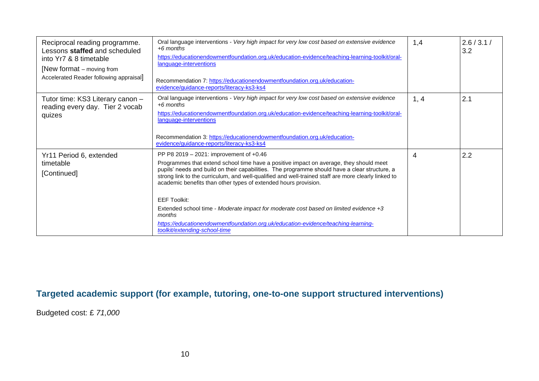| Reciprocal reading programme.<br>Lessons staffed and scheduled<br>into Yr7 & 8 timetable<br>[New format – moving from<br>Accelerated Reader following appraisal] | Oral language interventions - Very high impact for very low cost based on extensive evidence<br>$+6$ months<br>https://educationendowmentfoundation.org.uk/education-evidence/teaching-learning-toolkit/oral-<br>language-interventions<br>Recommendation 7: https://educationendowmentfoundation.org.uk/education-<br>evidence/guidance-reports/literacy-ks3-ks4                                                                                                                                                                                                                                                                                            | 1,4            | 2.6 / 3.1 /<br>3.2 |
|------------------------------------------------------------------------------------------------------------------------------------------------------------------|--------------------------------------------------------------------------------------------------------------------------------------------------------------------------------------------------------------------------------------------------------------------------------------------------------------------------------------------------------------------------------------------------------------------------------------------------------------------------------------------------------------------------------------------------------------------------------------------------------------------------------------------------------------|----------------|--------------------|
| Tutor time: KS3 Literary canon -<br>reading every day. Tier 2 vocab<br>quizes                                                                                    | Oral language interventions - Very high impact for very low cost based on extensive evidence<br>$+6$ months<br>https://educationendowmentfoundation.org.uk/education-evidence/teaching-learning-toolkit/oral-<br>language-interventions<br>Recommendation 3: https://educationendowmentfoundation.org.uk/education-<br>evidence/guidance-reports/literacy-ks3-ks4                                                                                                                                                                                                                                                                                            | 1, 4           | 2.1                |
| Yr11 Period 6, extended<br>timetable<br>[Continued]                                                                                                              | PP P8 2019 - 2021: improvement of +0.46<br>Programmes that extend school time have a positive impact on average, they should meet<br>pupils' needs and build on their capabilities. The programme should have a clear structure, a<br>strong link to the curriculum, and well-qualified and well-trained staff are more clearly linked to<br>academic benefits than other types of extended hours provision.<br><b>EEF Toolkit:</b><br>Extended school time - Moderate impact for moderate cost based on limited evidence +3<br>months<br>https://educationendowmentfoundation.org.uk/education-evidence/teaching-learning-<br>toolkit/extending-school-time | $\overline{4}$ | 2.2                |

#### **Targeted academic support (for example, tutoring, one-to-one support structured interventions)**

Budgeted cost: £ *71,000*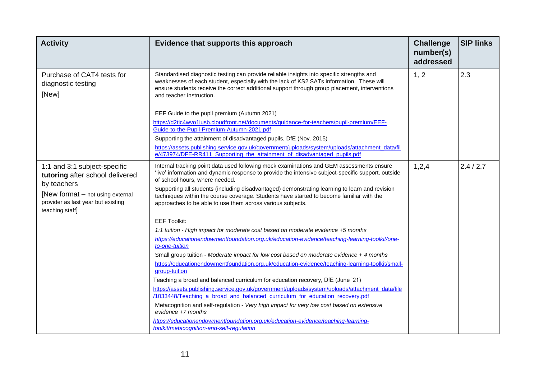| <b>Activity</b>                                                                           | Evidence that supports this approach                                                                                                                                                                                                                                                                               | <b>Challenge</b><br>number(s)<br>addressed | <b>SIP links</b> |
|-------------------------------------------------------------------------------------------|--------------------------------------------------------------------------------------------------------------------------------------------------------------------------------------------------------------------------------------------------------------------------------------------------------------------|--------------------------------------------|------------------|
| Purchase of CAT4 tests for<br>diagnostic testing<br>[New]                                 | Standardised diagnostic testing can provide reliable insights into specific strengths and<br>weaknesses of each student, especially with the lack of KS2 SATs information. These will<br>ensure students receive the correct additional support through group placement, interventions<br>and teacher instruction. | 1, 2                                       | 2.3              |
|                                                                                           | EEF Guide to the pupil premium (Autumn 2021)                                                                                                                                                                                                                                                                       |                                            |                  |
|                                                                                           | https://d2tic4wvo1iusb.cloudfront.net/documents/guidance-for-teachers/pupil-premium/EEF-<br>Guide-to-the-Pupil-Premium-Autumn-2021.pdf                                                                                                                                                                             |                                            |                  |
|                                                                                           | Supporting the attainment of disadvantaged pupils, DfE (Nov. 2015)                                                                                                                                                                                                                                                 |                                            |                  |
|                                                                                           | https://assets.publishing.service.gov.uk/government/uploads/system/uploads/attachment_data/fil<br>e/473974/DFE-RR411 Supporting the attainment of disadvantaged pupils.pdf                                                                                                                                         |                                            |                  |
| 1:1 and 3:1 subject-specific<br>tutoring after school delivered<br>by teachers            | Internal tracking point data used following mock examinations and GEM assessments ensure<br>'live' information and dynamic response to provide the intensive subject-specific support, outside<br>of school hours, where needed.                                                                                   | 1,2,4                                      | 2.4/2.7          |
| [New format – not using external<br>provider as last year but existing<br>teaching staff] | Supporting all students (including disadvantaged) demonstrating learning to learn and revision<br>techniques within the course coverage. Students have started to become familiar with the<br>approaches to be able to use them across various subjects.                                                           |                                            |                  |
|                                                                                           | <b>EEF Toolkit:</b>                                                                                                                                                                                                                                                                                                |                                            |                  |
|                                                                                           | 1:1 tuition - High impact for moderate cost based on moderate evidence +5 months                                                                                                                                                                                                                                   |                                            |                  |
|                                                                                           | https://educationendowmentfoundation.org.uk/education-evidence/teaching-learning-toolkit/one-<br>to-one-tuition                                                                                                                                                                                                    |                                            |                  |
|                                                                                           | Small group tuition - Moderate impact for low cost based on moderate evidence + 4 months                                                                                                                                                                                                                           |                                            |                  |
|                                                                                           | https://educationendowmentfoundation.org.uk/education-evidence/teaching-learning-toolkit/small-                                                                                                                                                                                                                    |                                            |                  |
|                                                                                           | group-tuition                                                                                                                                                                                                                                                                                                      |                                            |                  |
|                                                                                           | Teaching a broad and balanced curriculum for education recovery, DfE (June '21)                                                                                                                                                                                                                                    |                                            |                  |
|                                                                                           | https://assets.publishing.service.gov.uk/government/uploads/system/uploads/attachment_data/file                                                                                                                                                                                                                    |                                            |                  |
|                                                                                           | /1033448/Teaching a broad and balanced curriculum for education recovery.pdf                                                                                                                                                                                                                                       |                                            |                  |
|                                                                                           | Metacognition and self-regulation - Very high impact for very low cost based on extensive<br>$e$ <i>vidence</i> $+7$ <i>months</i>                                                                                                                                                                                 |                                            |                  |
|                                                                                           | https://educationendowmentfoundation.org.uk/education-evidence/teaching-learning-                                                                                                                                                                                                                                  |                                            |                  |
|                                                                                           | toolkit/metacognition-and-self-regulation                                                                                                                                                                                                                                                                          |                                            |                  |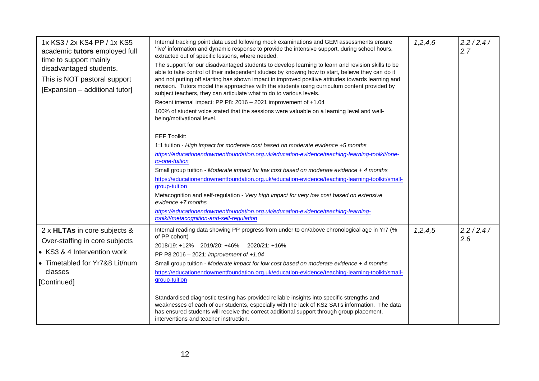| 1x KS3 / 2x KS4 PP / 1x KS5<br>academic tutors employed full<br>time to support mainly<br>disadvantaged students.<br>This is NOT pastoral support<br>[Expansion - additional tutor] | Internal tracking point data used following mock examinations and GEM assessments ensure<br>'live' information and dynamic response to provide the intensive support, during school hours,<br>extracted out of specific lessons, where needed.<br>The support for our disadvantaged students to develop learning to learn and revision skills to be<br>able to take control of their independent studies by knowing how to start, believe they can do it<br>and not putting off starting has shown impact in improved positive attitudes towards learning and<br>revision. Tutors model the approaches with the students using curriculum content provided by<br>subject teachers, they can articulate what to do to various levels.<br>Recent internal impact: PP P8: 2016 - 2021 improvement of +1.04<br>100% of student voice stated that the sessions were valuable on a learning level and well-<br>being/motivational level.<br><b>EEF Toolkit:</b><br>1:1 tuition - High impact for moderate cost based on moderate evidence +5 months<br>https://educationendowmentfoundation.org.uk/education-evidence/teaching-learning-toolkit/one-<br>to-one-tuition<br>Small group tuition - Moderate impact for low cost based on moderate evidence + 4 months<br>https://educationendowmentfoundation.org.uk/education-evidence/teaching-learning-toolkit/small-<br>group-tuition<br>Metacognition and self-regulation - Very high impact for very low cost based on extensive<br>$e$ <i>vidence</i> $+7$ <i>months</i><br>https://educationendowmentfoundation.org.uk/education-evidence/teaching-learning-<br>toolkit/metacognition-and-self-regulation | 1, 2, 4, 6 | 2.2 / 2.4 /<br>2.7 |
|-------------------------------------------------------------------------------------------------------------------------------------------------------------------------------------|----------------------------------------------------------------------------------------------------------------------------------------------------------------------------------------------------------------------------------------------------------------------------------------------------------------------------------------------------------------------------------------------------------------------------------------------------------------------------------------------------------------------------------------------------------------------------------------------------------------------------------------------------------------------------------------------------------------------------------------------------------------------------------------------------------------------------------------------------------------------------------------------------------------------------------------------------------------------------------------------------------------------------------------------------------------------------------------------------------------------------------------------------------------------------------------------------------------------------------------------------------------------------------------------------------------------------------------------------------------------------------------------------------------------------------------------------------------------------------------------------------------------------------------------------------------------------------------------------------------------------------------------------------|------------|--------------------|
| 2 x HLTAs in core subjects &<br>Over-staffing in core subjects<br>• KS3 & 4 Intervention work<br>• Timetabled for Yr7&8 Lit/num<br>classes<br>[Continued]                           | Internal reading data showing PP progress from under to on/above chronological age in Yr7 (%<br>of PP cohort)<br>2018/19: +12% 2019/20: +46% 2020/21: +16%<br>PP P8 2016 - 2021: improvement of +1.04<br>Small group tuition - Moderate impact for low cost based on moderate evidence + 4 months<br>https://educationendowmentfoundation.org.uk/education-evidence/teaching-learning-toolkit/small-<br>group-tuition<br>Standardised diagnostic testing has provided reliable insights into specific strengths and<br>weaknesses of each of our students, especially with the lack of KS2 SATs information. The data<br>has ensured students will receive the correct additional support through group placement,<br>interventions and teacher instruction.                                                                                                                                                                                                                                                                                                                                                                                                                                                                                                                                                                                                                                                                                                                                                                                                                                                                                             | 1, 2, 4, 5 | 2.2/2.4/<br>2.6    |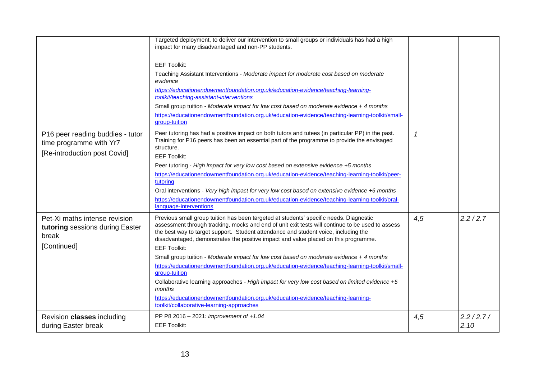|                                                                                             | Targeted deployment, to deliver our intervention to small groups or individuals has had a high<br>impact for many disadvantaged and non-PP students.<br><b>EEF Toolkit:</b><br>Teaching Assistant Interventions - Moderate impact for moderate cost based on moderate<br>evidence<br>https://educationendowmentfoundation.org.uk/education-evidence/teaching-learning-<br>toolkit/teaching-assistant-interventions<br>Small group tuition - Moderate impact for low cost based on moderate evidence + 4 months<br>https://educationendowmentfoundation.org.uk/education-evidence/teaching-learning-toolkit/small-<br>group-tuition                                                                                                                                                                                                                            |              |                     |
|---------------------------------------------------------------------------------------------|---------------------------------------------------------------------------------------------------------------------------------------------------------------------------------------------------------------------------------------------------------------------------------------------------------------------------------------------------------------------------------------------------------------------------------------------------------------------------------------------------------------------------------------------------------------------------------------------------------------------------------------------------------------------------------------------------------------------------------------------------------------------------------------------------------------------------------------------------------------|--------------|---------------------|
| P16 peer reading buddies - tutor<br>time programme with Yr7<br>[Re-introduction post Covid] | Peer tutoring has had a positive impact on both tutors and tutees (in particular PP) in the past.<br>Training for P16 peers has been an essential part of the programme to provide the envisaged<br>structure.<br><b>EEF Toolkit:</b><br>Peer tutoring - High impact for very low cost based on extensive evidence +5 months<br>https://educationendowmentfoundation.org.uk/education-evidence/teaching-learning-toolkit/peer-<br>tutoring<br>Oral interventions - Very high impact for very low cost based on extensive evidence +6 months<br>https://educationendowmentfoundation.org.uk/education-evidence/teaching-learning-toolkit/oral-<br>language-interventions                                                                                                                                                                                       | $\mathcal I$ |                     |
| Pet-Xi maths intense revision<br>tutoring sessions during Easter<br>break<br>[Continued]    | Previous small group tuition has been targeted at students' specific needs. Diagnostic<br>assessment through tracking, mocks and end of unit exit tests will continue to be used to assess<br>the best way to target support. Student attendance and student voice, including the<br>disadvantaged, demonstrates the positive impact and value placed on this programme.<br><b>EEF Toolkit:</b><br>Small group tuition - Moderate impact for low cost based on moderate evidence + 4 months<br>https://educationendowmentfoundation.org.uk/education-evidence/teaching-learning-toolkit/small-<br>group-tuition<br>Collaborative learning approaches - High impact for very low cost based on limited evidence +5<br>months<br>https://educationendowmentfoundation.org.uk/education-evidence/teaching-learning-<br>toolkit/collaborative-learning-approaches | 4,5          | 2.2 / 2.7           |
| Revision classes including<br>during Easter break                                           | PP P8 2016 - 2021: improvement of $+1.04$<br><b>EEF Toolkit:</b>                                                                                                                                                                                                                                                                                                                                                                                                                                                                                                                                                                                                                                                                                                                                                                                              | 4,5          | 2.2 / 2.7 /<br>2.10 |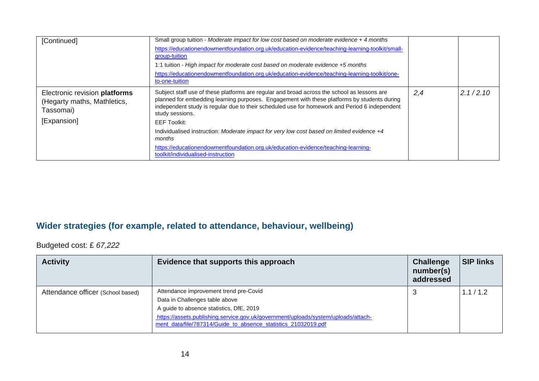| [Continued]                                                                              | Small group tuition - Moderate impact for low cost based on moderate evidence + 4 months<br>https://educationendowmentfoundation.org.uk/education-evidence/teaching-learning-toolkit/small-<br>group-tuition<br>1:1 tuition - High impact for moderate cost based on moderate evidence +5 months<br>https://educationendowmentfoundation.org.uk/education-evidence/teaching-learning-toolkit/one-<br>to-one-tuition                                                                                                                                                      |     |          |
|------------------------------------------------------------------------------------------|--------------------------------------------------------------------------------------------------------------------------------------------------------------------------------------------------------------------------------------------------------------------------------------------------------------------------------------------------------------------------------------------------------------------------------------------------------------------------------------------------------------------------------------------------------------------------|-----|----------|
| Electronic revision platforms<br>(Hegarty maths, Mathletics,<br>Tassomai)<br>[Expansion] | Subject staff use of these platforms are regular and broad across the school as lessons are<br>planned for embedding learning purposes. Engagement with these platforms by students during<br>independent study is regular due to their scheduled use for homework and Period 6 independent<br>study sessions.<br><b>EEF Toolkit:</b><br>Individualised instruction: Moderate impact for very low cost based on limited evidence +4<br>months<br>https://educationendowmentfoundation.org.uk/education-evidence/teaching-learning-<br>toolkit/individualised-instruction | 2,4 | 2.1/2.10 |

#### **Wider strategies (for example, related to attendance, behaviour, wellbeing)**

Budgeted cost: £ *67,222*

| <b>Activity</b>                   | Evidence that supports this approach                                                                                                                                                                                                                                         | <b>Challenge</b><br>number(s)<br>addressed | <b>SIP links</b> |
|-----------------------------------|------------------------------------------------------------------------------------------------------------------------------------------------------------------------------------------------------------------------------------------------------------------------------|--------------------------------------------|------------------|
| Attendance officer (School based) | Attendance improvement trend pre-Covid<br>Data in Challenges table above<br>A guide to absence statistics, DfE, 2019<br>https://assets.publishing.service.gov.uk/government/uploads/system/uploads/attach-<br>ment data/file/787314/Guide to absence statistics 21032019.pdf | ۰J                                         | 1.1 / 1.2        |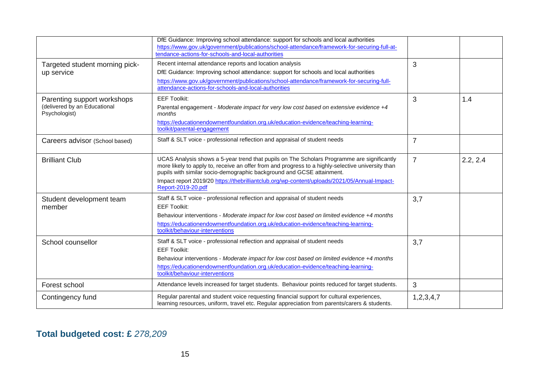|                                                                              | DfE Guidance: Improving school attendance: support for schools and local authorities<br>https://www.gov.uk/government/publications/school-attendance/framework-for-securing-full-at-<br>tendance-actions-for-schools-and-local-authorities                                                                                                                                                     |                |          |
|------------------------------------------------------------------------------|------------------------------------------------------------------------------------------------------------------------------------------------------------------------------------------------------------------------------------------------------------------------------------------------------------------------------------------------------------------------------------------------|----------------|----------|
| Targeted student morning pick-<br>up service                                 | Recent internal attendance reports and location analysis<br>DfE Guidance: Improving school attendance: support for schools and local authorities<br>https://www.gov.uk/government/publications/school-attendance/framework-for-securing-full-<br>attendance-actions-for-schools-and-local-authorities                                                                                          | 3              |          |
| Parenting support workshops<br>(delivered by an Educational<br>Psychologist) | <b>EEF Toolkit:</b><br>Parental engagement - Moderate impact for very low cost based on extensive evidence +4<br>months<br>https://educationendowmentfoundation.org.uk/education-evidence/teaching-learning-<br>toolkit/parental-engagement                                                                                                                                                    | 3              | 1.4      |
| Careers advisor (School based)                                               | Staff & SLT voice - professional reflection and appraisal of student needs                                                                                                                                                                                                                                                                                                                     | $\overline{7}$ |          |
| <b>Brilliant Club</b>                                                        | UCAS Analysis shows a 5-year trend that pupils on The Scholars Programme are significantly<br>more likely to apply to, receive an offer from and progress to a highly-selective university than<br>pupils with similar socio-demographic background and GCSE attainment.<br>Impact report 2019/20 https://thebrilliantclub.org/wp-content/uploads/2021/05/Annual-Impact-<br>Report-2019-20.pdf | $\overline{7}$ | 2.2, 2.4 |
| Student development team<br>member                                           | Staff & SLT voice - professional reflection and appraisal of student needs<br><b>EEF Toolkit:</b><br>Behaviour interventions - Moderate impact for low cost based on limited evidence +4 months<br>https://educationendowmentfoundation.org.uk/education-evidence/teaching-learning-<br>toolkit/behaviour-interventions                                                                        | 3,7            |          |
| School counsellor                                                            | Staff & SLT voice - professional reflection and appraisal of student needs<br><b>EEF Toolkit:</b><br>Behaviour interventions - Moderate impact for low cost based on limited evidence +4 months<br>https://educationendowmentfoundation.org.uk/education-evidence/teaching-learning-<br>toolkit/behaviour-interventions                                                                        | 3,7            |          |
| Forest school                                                                | Attendance levels increased for target students. Behaviour points reduced for target students.                                                                                                                                                                                                                                                                                                 | 3              |          |
| Contingency fund                                                             | Regular parental and student voice requesting financial support for cultural experiences,<br>learning resources, uniform, travel etc. Regular appreciation from parents/carers & students.                                                                                                                                                                                                     | 1,2,3,4,7      |          |

## **Total budgeted cost: £** *278,209*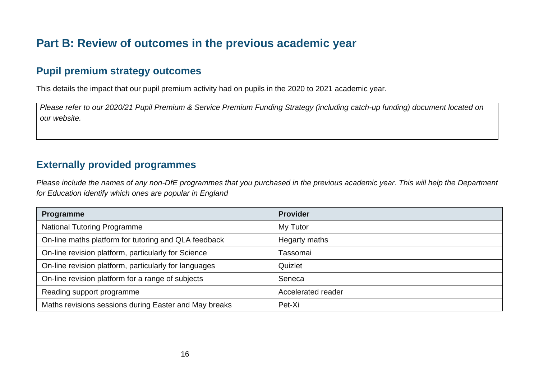## **Part B: Review of outcomes in the previous academic year**

### **Pupil premium strategy outcomes**

This details the impact that our pupil premium activity had on pupils in the 2020 to 2021 academic year.

*Please refer to our 2020/21 Pupil Premium & Service Premium Funding Strategy (including catch-up funding) document located on our website.*

### **Externally provided programmes**

*Please include the names of any non-DfE programmes that you purchased in the previous academic year. This will help the Department for Education identify which ones are popular in England*

| Programme                                             | <b>Provider</b>    |
|-------------------------------------------------------|--------------------|
| <b>National Tutoring Programme</b>                    | My Tutor           |
| On-line maths platform for tutoring and QLA feedback  | Hegarty maths      |
| On-line revision platform, particularly for Science   | Tassomai           |
| On-line revision platform, particularly for languages | Quizlet            |
| On-line revision platform for a range of subjects     | Seneca             |
| Reading support programme                             | Accelerated reader |
| Maths revisions sessions during Easter and May breaks | Pet-Xi             |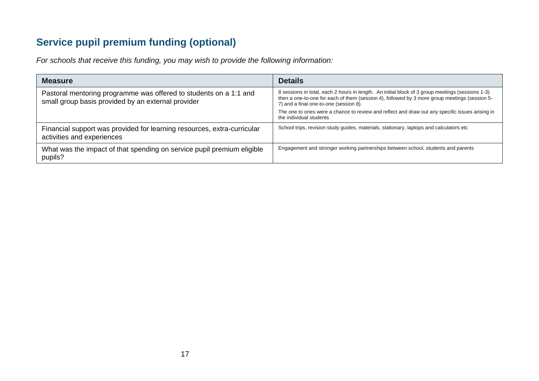## **Service pupil premium funding (optional)**

*For schools that receive this funding, you may wish to provide the following information:* 

| <b>Measure</b>                                                                                                          | <b>Details</b>                                                                                                                                                                                                                              |
|-------------------------------------------------------------------------------------------------------------------------|---------------------------------------------------------------------------------------------------------------------------------------------------------------------------------------------------------------------------------------------|
| Pastoral mentoring programme was offered to students on a 1:1 and<br>small group basis provided by an external provider | 8 sessions in total, each 2 hours in length. An initial block of 3 group meetings (sessions 1-3)<br>then a one-to-one for each of them (session 4), followed by 3 more group meetings (session 5-<br>7) and a final one-to-one (session 8). |
|                                                                                                                         | The one to ones were a chance to review and reflect and draw out any specific issues arising in<br>the individual students                                                                                                                  |
| Financial support was provided for learning resources, extra-curricular<br>activities and experiences                   | School trips, revision study guides, materials, stationary, laptops and calculators etc                                                                                                                                                     |
| What was the impact of that spending on service pupil premium eligible<br>pupils?                                       | Engagement and stronger working partnerships between school, students and parents                                                                                                                                                           |